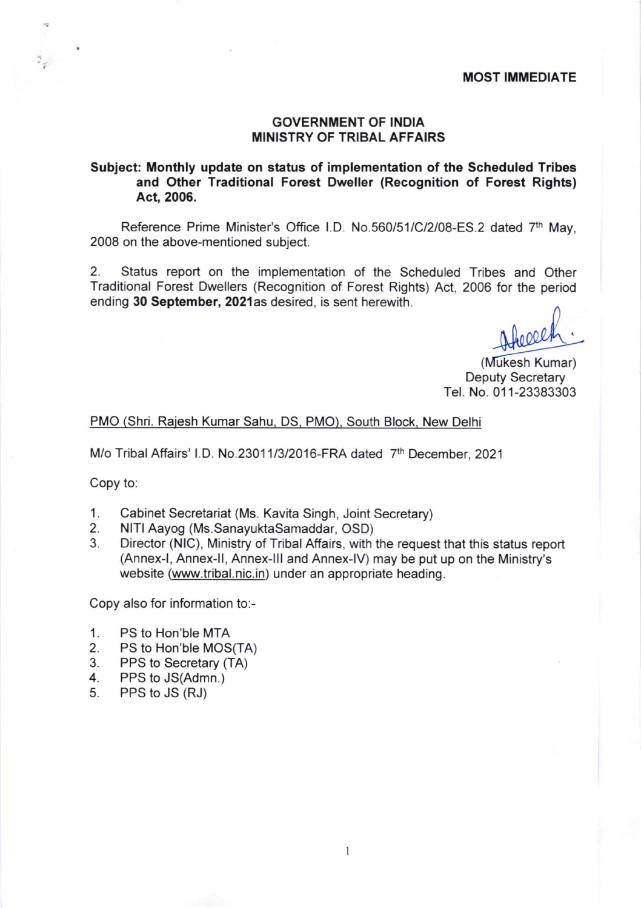#### MOST IMMEDIATE

## GOVERNMENT OF INDIA MINISTRY OF TRIBAL AFFAIRS

## Subject: Monthly update on status of implementation of the Scheduled Tribes and Other Traditional Forest Dweller (Recognition of Forest Rights) Act, 2006.

Reference Prime Minister's Office l.D No.560/51/C/2/08-ES.2 dated 7th May, 2008 on the above-mentioned subject.

2. Status report on the implementation of the Scheduled Tribes and Other Traditional Forest Dwellers (Recognition of Forest Rights) Act, 2006 for the period ending 30 September, 2021as desired, is sent herewith.

foeled

(Mukesh Kumar) Deputy Secretary Tel. No.011-23383303

#### PMO (Shri. Raiesh Kumar Sahu. DS. PMO). South Block. New Delhi

M/o Tribal Affairs' I.D. No.23011/3/2016-FRA dated 7<sup>th</sup> December, 2021

Copy to:

- 
- 
- 1. Cabinet Secretariat (Ms. Kavita Singh, Joint Secretary)<br>2. NITI Aayog (Ms.SanayuktaSamaddar, OSD)<br>3. Director (NIC), Ministry of Tribal Affairs, with the request that this status report (Annex-|, Annex-ll, Annex-lll and Annex-lv) may be put up on the Ministry's website (www.tribal.nic.in) under an appropriate heading.

Copy also for information to:-

- 
- 1. PS to Hon'ble MTA<br>2. PS to Hon'ble MOS(TA)<br>3. PPS to Secretary (TA)
- 3. PPS to Secretary (TA)<br>4. PPS to JS(Admn.)<br>5. PPS to JS (RJ)
- 
- PPS to JS (RJ)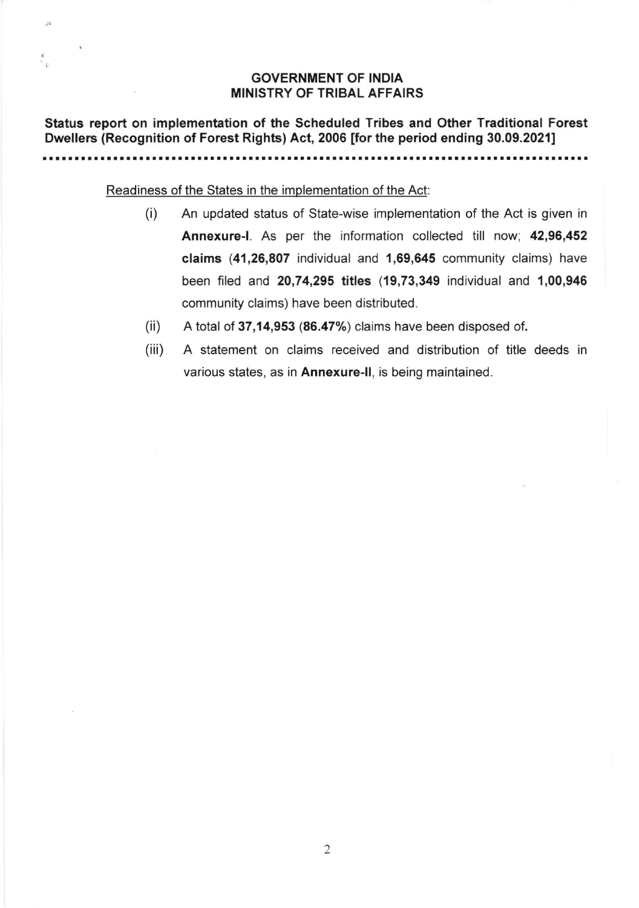# GOVERNMENT OF INDIA MINISTRY OF TRIBAL AFFAIRS

Status report on implementation of the Scheduled Tribes and Other Traditional Forest Dwellers (Recognition of Forest Rights) Act, 2006 ffor the period ending 30.09.20211

. . . . . . . . . . . . . . . . . .

Readiness of the States in the implementation of the Act

 $\tilde{r}$ 

- (i) An updated status of State-wise implementation of the Act is given in Annexure-|. As per the information collected till now; 42,96,452 claims (41,26,807 individual and 1,69,645 community claims) have been filed and 20,74,295 titles (19,73,349 individual and '1,00,946 community claims) have been distributed.
- A total of 37,14,953 (86.47%) claims have been disposed of. (ii)
- A statement on claims received and distribution of title deeds in various states, as in Annexure-II, is being maintained. (iii)